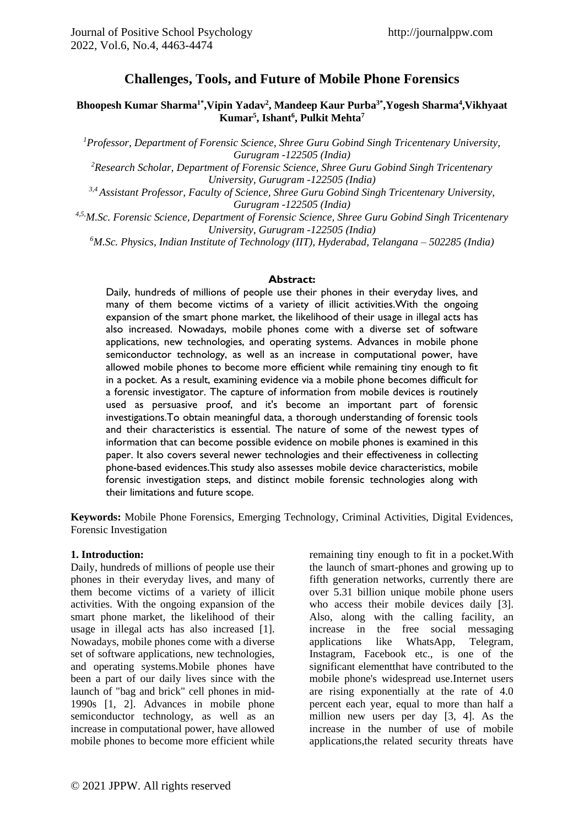# **Challenges, Tools, and Future of Mobile Phone Forensics**

#### **Bhoopesh Kumar Sharma1\* ,Vipin Yadav<sup>2</sup> , Mandeep Kaur Purba3\* ,Yogesh Sharma<sup>4</sup> ,Vikhyaat Kumar<sup>5</sup> , Ishant<sup>6</sup> , Pulkit Mehta<sup>7</sup>**

*<sup>1</sup>Professor, Department of Forensic Science, Shree Guru Gobind Singh Tricentenary University, Gurugram -122505 (India)*

*<sup>2</sup>Research Scholar, Department of Forensic Science, Shree Guru Gobind Singh Tricentenary University, Gurugram -122505 (India)*

*3,4 Assistant Professor, Faculty of Science, Shree Guru Gobind Singh Tricentenary University, Gurugram -122505 (India)*

*4,5,M.Sc. Forensic Science, Department of Forensic Science, Shree Guru Gobind Singh Tricentenary University, Gurugram -122505 (India)*

*<sup>6</sup>M.Sc. Physics, Indian Institute of Technology (IIT), Hyderabad, Telangana – 502285 (India)*

#### **Abstract:**

Daily, hundreds of millions of people use their phones in their everyday lives, and many of them become victims of a variety of illicit activities.With the ongoing expansion of the smart phone market, the likelihood of their usage in illegal acts has also increased. Nowadays, mobile phones come with a diverse set of software applications, new technologies, and operating systems. Advances in mobile phone semiconductor technology, as well as an increase in computational power, have allowed mobile phones to become more efficient while remaining tiny enough to fit in a pocket. As a result, examining evidence via a mobile phone becomes difficult for a forensic investigator. The capture of information from mobile devices is routinely used as persuasive proof, and it's become an important part of forensic investigations.To obtain meaningful data, a thorough understanding of forensic tools and their characteristics is essential. The nature of some of the newest types of information that can become possible evidence on mobile phones is examined in this paper. It also covers several newer technologies and their effectiveness in collecting phone-based evidences.This study also assesses mobile device characteristics, mobile forensic investigation steps, and distinct mobile forensic technologies along with their limitations and future scope.

**Keywords:** Mobile Phone Forensics, Emerging Technology, Criminal Activities, Digital Evidences, Forensic Investigation

#### **1. Introduction:**

Daily, hundreds of millions of people use their phones in their everyday lives, and many of them become victims of a variety of illicit activities. With the ongoing expansion of the smart phone market, the likelihood of their usage in illegal acts has also increased [1]. Nowadays, mobile phones come with a diverse set of software applications, new technologies, and operating systems.Mobile phones have been a part of our daily lives since with the launch of "bag and brick" cell phones in mid-1990s [1, 2]. Advances in mobile phone semiconductor technology, as well as an increase in computational power, have allowed mobile phones to become more efficient while

remaining tiny enough to fit in a pocket.With the launch of smart-phones and growing up to fifth generation networks, currently there are over 5.31 billion unique mobile phone users who access their mobile devices daily [3]. Also, along with the calling facility, an increase in the free social messaging applications like WhatsApp, Telegram, Instagram, Facebook etc., is one of the significant elementthat have contributed to the mobile phone's widespread use.Internet users are rising exponentially at the rate of 4.0 percent each year, equal to more than half a million new users per day [3, 4]. As the increase in the number of use of mobile applications,the related security threats have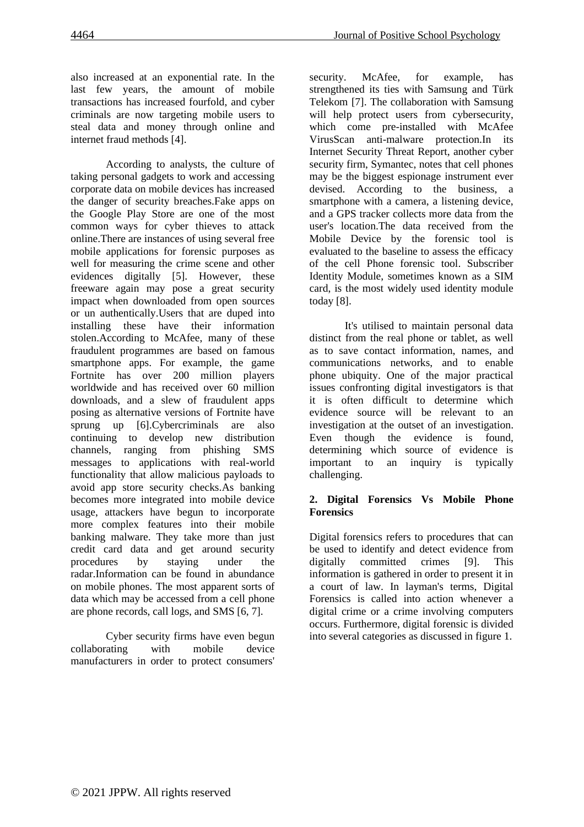also increased at an exponential rate. In the last few years, the amount of mobile transactions has increased fourfold, and cyber criminals are now targeting mobile users to steal data and money through online and internet fraud methods [4].

According to analysts, the culture of taking personal gadgets to work and accessing corporate data on mobile devices has increased the danger of security breaches.Fake apps on the Google Play Store are one of the most common ways for cyber thieves to attack online.There are instances of using several free mobile applications for forensic purposes as well for measuring the crime scene and other evidences digitally [5]. However, these freeware again may pose a great security impact when downloaded from open sources or un authentically.Users that are duped into installing these have their information stolen.According to McAfee, many of these fraudulent programmes are based on famous smartphone apps. For example, the game Fortnite has over 200 million players worldwide and has received over 60 million downloads, and a slew of fraudulent apps posing as alternative versions of Fortnite have sprung up [6].Cybercriminals are also continuing to develop new distribution channels, ranging from phishing SMS messages to applications with real-world functionality that allow malicious payloads to avoid app store security checks.As banking becomes more integrated into mobile device usage, attackers have begun to incorporate more complex features into their mobile banking malware. They take more than just credit card data and get around security procedures by staying under the radar.Information can be found in abundance on mobile phones. The most apparent sorts of data which may be accessed from a cell phone are phone records, call logs, and SMS [6, 7].

Cyber security firms have even begun collaborating with mobile device manufacturers in order to protect consumers'

security. McAfee, for example, has strengthened its ties with Samsung and Türk Telekom [7]. The collaboration with Samsung will help protect users from cybersecurity, which come pre-installed with McAfee VirusScan anti-malware protection.In its Internet Security Threat Report, another cyber security firm, Symantec, notes that cell phones may be the biggest espionage instrument ever devised. According to the business, a smartphone with a camera, a listening device, and a GPS tracker collects more data from the user's location.The data received from the Mobile Device by the forensic tool is evaluated to the baseline to assess the efficacy of the cell Phone forensic tool. Subscriber Identity Module, sometimes known as a SIM card, is the most widely used identity module today [8].

It's utilised to maintain personal data distinct from the real phone or tablet, as well as to save contact information, names, and communications networks, and to enable phone ubiquity. One of the major practical issues confronting digital investigators is that it is often difficult to determine which evidence source will be relevant to an investigation at the outset of an investigation. Even though the evidence is found, determining which source of evidence is important to an inquiry is typically challenging.

### **2. Digital Forensics Vs Mobile Phone Forensics**

Digital forensics refers to procedures that can be used to identify and detect evidence from digitally committed crimes [9]. This information is gathered in order to present it in a court of law. In layman's terms, Digital Forensics is called into action whenever a digital crime or a crime involving computers occurs. Furthermore, digital forensic is divided into several categories as discussed in figure 1.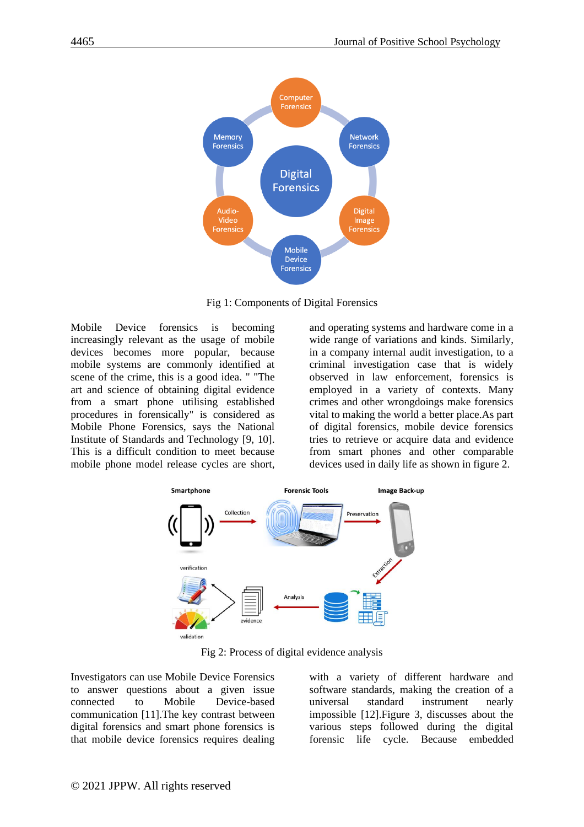

Fig 1: Components of Digital Forensics

Mobile Device forensics is becoming increasingly relevant as the usage of mobile devices becomes more popular, because mobile systems are commonly identified at scene of the crime, this is a good idea. " "The art and science of obtaining digital evidence from a smart phone utilising established procedures in forensically" is considered as Mobile Phone Forensics, says the National Institute of Standards and Technology [9, 10]. This is a difficult condition to meet because mobile phone model release cycles are short, and operating systems and hardware come in a wide range of variations and kinds. Similarly, in a company internal audit investigation, to a criminal investigation case that is widely observed in law enforcement, forensics is employed in a variety of contexts. Many crimes and other wrongdoings make forensics vital to making the world a better place.As part of digital forensics, mobile device forensics tries to retrieve or acquire data and evidence from smart phones and other comparable devices used in daily life as shown in figure 2.



Fig 2: Process of digital evidence analysis

Investigators can use Mobile Device Forensics to answer questions about a given issue connected to Mobile Device-based communication [11].The key contrast between digital forensics and smart phone forensics is that mobile device forensics requires dealing with a variety of different hardware and software standards, making the creation of a universal standard instrument nearly impossible [12].Figure 3, discusses about the various steps followed during the digital forensic life cycle. Because embedded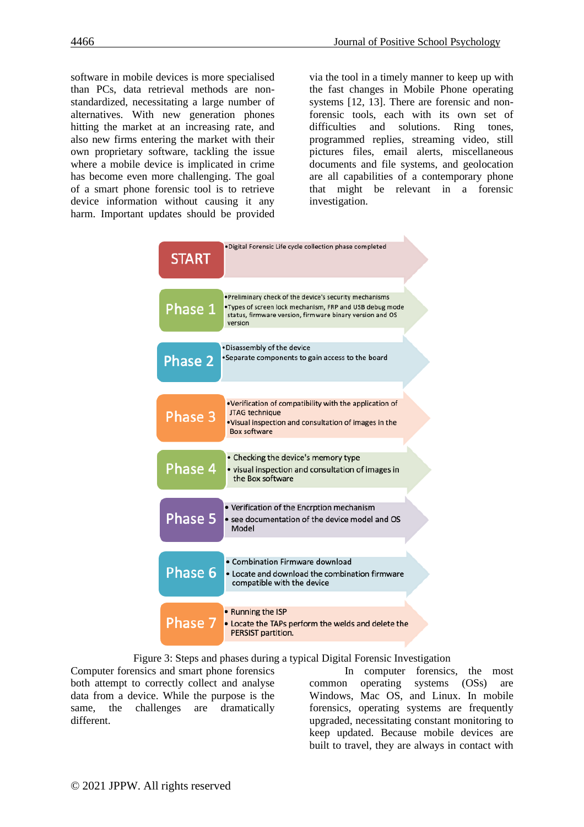software in mobile devices is more specialised than PCs, data retrieval methods are nonstandardized, necessitating a large number of alternatives. With new generation phones hitting the market at an increasing rate, and also new firms entering the market with their own proprietary software, tackling the issue where a mobile device is implicated in crime has become even more challenging. The goal of a smart phone forensic tool is to retrieve device information without causing it any harm. Important updates should be provided

via the tool in a timely manner to keep up with the fast changes in Mobile Phone operating systems [12, 13]. There are forensic and nonforensic tools, each with its own set of difficulties and solutions. Ring tones, programmed replies, streaming video, still pictures files, email alerts, miscellaneous documents and file systems, and geolocation are all capabilities of a contemporary phone that might be relevant in a forensic investigation.



Figure 3: Steps and phases during a typical Digital Forensic Investigation

Computer forensics and smart phone forensics both attempt to correctly collect and analyse data from a device. While the purpose is the same, the challenges are dramatically different.

In computer forensics, the most common operating systems (OSs) are Windows, Mac OS, and Linux. In mobile forensics, operating systems are frequently upgraded, necessitating constant monitoring to keep updated. Because mobile devices are built to travel, they are always in contact with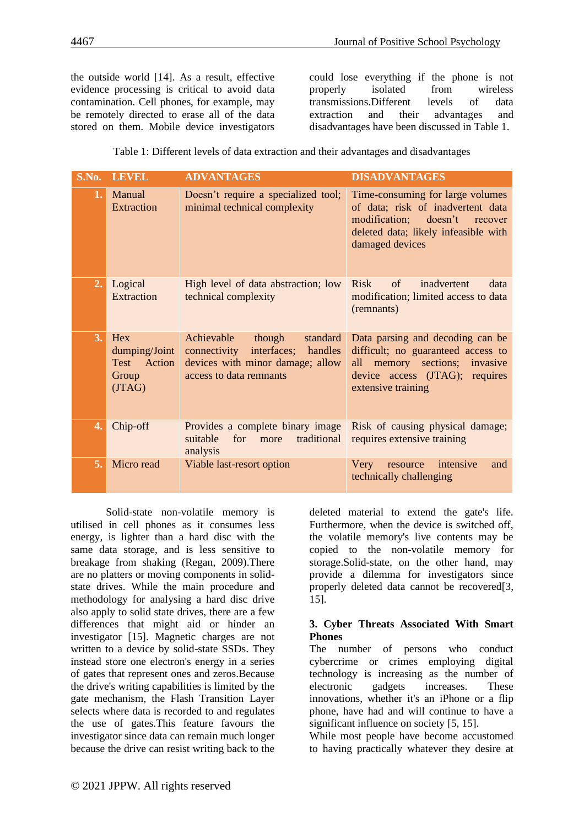the outside world [14]. As a result, effective evidence processing is critical to avoid data contamination. Cell phones, for example, may be remotely directed to erase all of the data stored on them. Mobile device investigators

could lose everything if the phone is not properly isolated from wireless transmissions.Different levels of data extraction and their advantages and disadvantages have been discussed in Table 1.

Table 1: Different levels of data extraction and their advantages and disadvantages

| S.No. | <b>LEVEL</b>                                              | <b>ADVANTAGES</b>                                                                                                                         | <b>DISADVANTAGES</b>                                                                                                                                              |
|-------|-----------------------------------------------------------|-------------------------------------------------------------------------------------------------------------------------------------------|-------------------------------------------------------------------------------------------------------------------------------------------------------------------|
| 1.    | Manual<br>Extraction                                      | Doesn't require a specialized tool;<br>minimal technical complexity                                                                       | Time-consuming for large volumes<br>of data; risk of inadvertent data<br>modification; doesn't recover<br>deleted data; likely infeasible with<br>damaged devices |
| 2.    | Logical<br><b>Extraction</b>                              | High level of data abstraction; low<br>technical complexity                                                                               | <b>Risk</b><br>of<br>inadvertent<br>data<br>modification; limited access to data<br>(remnants)                                                                    |
| 3.    | Hex<br>dumping/Joint<br>Test<br>Action<br>Group<br>(JTAG) | Achievable<br>though<br>standard<br>interfaces;<br>handles<br>connectivity<br>devices with minor damage; allow<br>access to data remnants | Data parsing and decoding can be<br>difficult; no guaranteed access to<br>all memory sections; invasive<br>device access (JTAG); requires<br>extensive training   |
| 4.    | Chip-off                                                  | Provides a complete binary image<br>suitable<br>for<br>traditional<br>more<br>analysis                                                    | Risk of causing physical damage;<br>requires extensive training                                                                                                   |
| 5.    | Micro read                                                | Viable last-resort option                                                                                                                 | intensive<br>Very<br>and<br>resource<br>technically challenging                                                                                                   |

Solid-state non-volatile memory is utilised in cell phones as it consumes less energy, is lighter than a hard disc with the same data storage, and is less sensitive to breakage from shaking (Regan, 2009).There are no platters or moving components in solidstate drives. While the main procedure and methodology for analysing a hard disc drive also apply to solid state drives, there are a few differences that might aid or hinder an investigator [15]. Magnetic charges are not written to a device by solid-state SSDs. They instead store one electron's energy in a series of gates that represent ones and zeros.Because the drive's writing capabilities is limited by the gate mechanism, the Flash Transition Layer selects where data is recorded to and regulates the use of gates.This feature favours the investigator since data can remain much longer because the drive can resist writing back to the

deleted material to extend the gate's life. Furthermore, when the device is switched off, the volatile memory's live contents may be copied to the non-volatile memory for storage.Solid-state, on the other hand, may provide a dilemma for investigators since properly deleted data cannot be recovered[3, 15].

#### **3. Cyber Threats Associated With Smart Phones**

The number of persons who conduct cybercrime or crimes employing digital technology is increasing as the number of electronic gadgets increases. These innovations, whether it's an iPhone or a flip phone, have had and will continue to have a significant influence on society [5, 15].

While most people have become accustomed to having practically whatever they desire at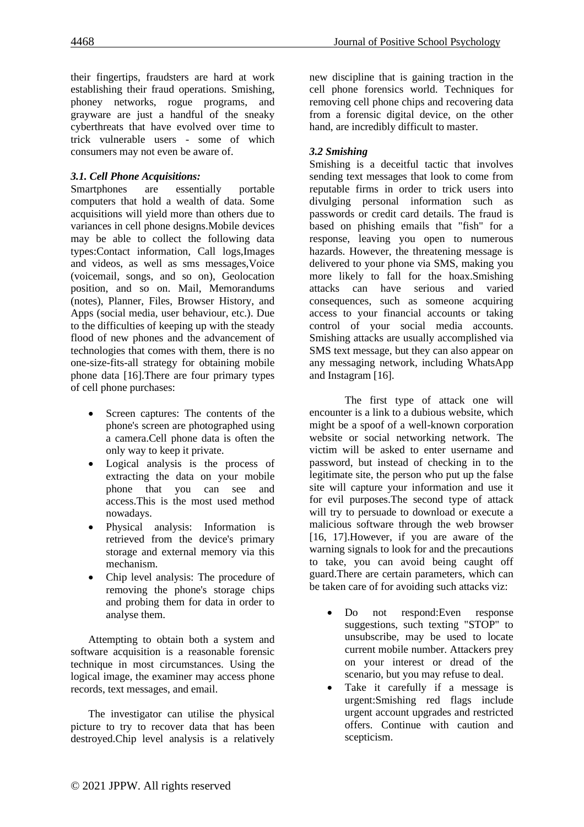their fingertips, fraudsters are hard at work establishing their fraud operations. Smishing, phoney networks, rogue programs, and grayware are just a handful of the sneaky cyberthreats that have evolved over time to trick vulnerable users - some of which consumers may not even be aware of.

#### *3.1. Cell Phone Acquisitions:*

Smartphones are essentially portable computers that hold a wealth of data. Some acquisitions will yield more than others due to variances in cell phone designs.Mobile devices may be able to collect the following data types:Contact information, Call logs,Images and videos, as well as sms messages,Voice (voicemail, songs, and so on), Geolocation position, and so on. Mail, Memorandums (notes), Planner, Files, Browser History, and Apps (social media, user behaviour, etc.). Due to the difficulties of keeping up with the steady flood of new phones and the advancement of technologies that comes with them, there is no one-size-fits-all strategy for obtaining mobile phone data [16].There are four primary types of cell phone purchases:

- Screen captures: The contents of the phone's screen are photographed using a camera.Cell phone data is often the only way to keep it private.
- Logical analysis is the process of extracting the data on your mobile phone that you can see and access.This is the most used method nowadays.
- Physical analysis: Information is retrieved from the device's primary storage and external memory via this mechanism.
- Chip level analysis: The procedure of removing the phone's storage chips and probing them for data in order to analyse them.

Attempting to obtain both a system and software acquisition is a reasonable forensic technique in most circumstances. Using the logical image, the examiner may access phone records, text messages, and email.

The investigator can utilise the physical picture to try to recover data that has been destroyed.Chip level analysis is a relatively

new discipline that is gaining traction in the cell phone forensics world. Techniques for removing cell phone chips and recovering data from a forensic digital device, on the other hand, are incredibly difficult to master.

## *3.2 Smishing*

Smishing is a deceitful tactic that involves sending text messages that look to come from reputable firms in order to trick users into divulging personal information such as passwords or credit card details. The fraud is based on phishing emails that "fish" for a response, leaving you open to numerous hazards. However, the threatening message is delivered to your phone via SMS, making you more likely to fall for the hoax.Smishing attacks can have serious and varied consequences, such as someone acquiring access to your financial accounts or taking control of your social media accounts. Smishing attacks are usually accomplished via SMS text message, but they can also appear on any messaging network, including WhatsApp and Instagram [16].

The first type of attack one will encounter is a link to a dubious website, which might be a spoof of a well-known corporation website or social networking network. The victim will be asked to enter username and password, but instead of checking in to the legitimate site, the person who put up the false site will capture your information and use it for evil purposes.The second type of attack will try to persuade to download or execute a malicious software through the web browser [16, 17].However, if you are aware of the warning signals to look for and the precautions to take, you can avoid being caught off guard.There are certain parameters, which can be taken care of for avoiding such attacks viz:

- Do not respond:Even response suggestions, such texting "STOP" to unsubscribe, may be used to locate current mobile number. Attackers prey on your interest or dread of the scenario, but you may refuse to deal.
- Take it carefully if a message is urgent:Smishing red flags include urgent account upgrades and restricted offers. Continue with caution and scepticism.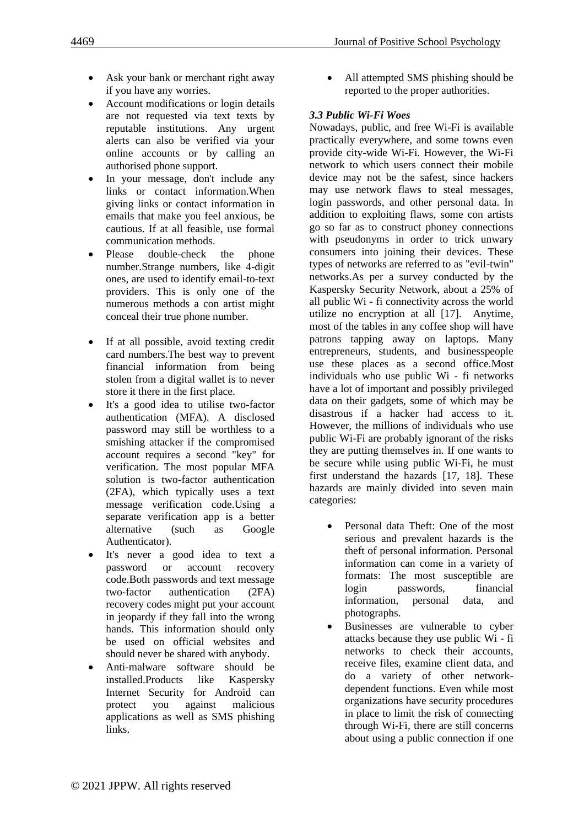- Ask your bank or merchant right away if you have any worries.
- Account modifications or login details are not requested via text texts by reputable institutions. Any urgent alerts can also be verified via your online accounts or by calling an authorised phone support.
- In your message, don't include any links or contact information.When giving links or contact information in emails that make you feel anxious, be cautious. If at all feasible, use formal communication methods.
- Please double-check the phone number.Strange numbers, like 4-digit ones, are used to identify email-to-text providers. This is only one of the numerous methods a con artist might conceal their true phone number.
- If at all possible, avoid texting credit card numbers.The best way to prevent financial information from being stolen from a digital wallet is to never store it there in the first place.
- It's a good idea to utilise two-factor authentication (MFA). A disclosed password may still be worthless to a smishing attacker if the compromised account requires a second "key" for verification. The most popular MFA solution is two-factor authentication (2FA), which typically uses a text message verification code.Using a separate verification app is a better alternative (such as Google Authenticator).
- It's never a good idea to text a password or account recovery code.Both passwords and text message two-factor authentication (2FA) recovery codes might put your account in jeopardy if they fall into the wrong hands. This information should only be used on official websites and should never be shared with anybody.
- Anti-malware software should be installed.Products like Kaspersky Internet Security for Android can protect you against malicious applications as well as SMS phishing links.

All attempted SMS phishing should be reported to the proper authorities.

## *3.3 Public Wi-Fi Woes*

Nowadays, public, and free Wi-Fi is available practically everywhere, and some towns even provide city-wide Wi-Fi. However, the Wi-Fi network to which users connect their mobile device may not be the safest, since hackers may use network flaws to steal messages, login passwords, and other personal data. In addition to exploiting flaws, some con artists go so far as to construct phoney connections with pseudonyms in order to trick unwary consumers into joining their devices. These types of networks are referred to as "evil-twin" networks.As per a survey conducted by the Kaspersky Security Network, about a 25% of all public Wi - fi connectivity across the world utilize no encryption at all [17]. Anytime, most of the tables in any coffee shop will have patrons tapping away on laptops. Many entrepreneurs, students, and businesspeople use these places as a second office.Most individuals who use public Wi - fi networks have a lot of important and possibly privileged data on their gadgets, some of which may be disastrous if a hacker had access to it. However, the millions of individuals who use public Wi-Fi are probably ignorant of the risks they are putting themselves in. If one wants to be secure while using public Wi-Fi, he must first understand the hazards [17, 18]. These hazards are mainly divided into seven main categories:

- Personal data Theft: One of the most serious and prevalent hazards is the theft of personal information. Personal information can come in a variety of formats: The most susceptible are login passwords, financial information, personal data, and photographs.
- Businesses are vulnerable to cyber attacks because they use public Wi - fi networks to check their accounts, receive files, examine client data, and do a variety of other networkdependent functions. Even while most organizations have security procedures in place to limit the risk of connecting through Wi-Fi, there are still concerns about using a public connection if one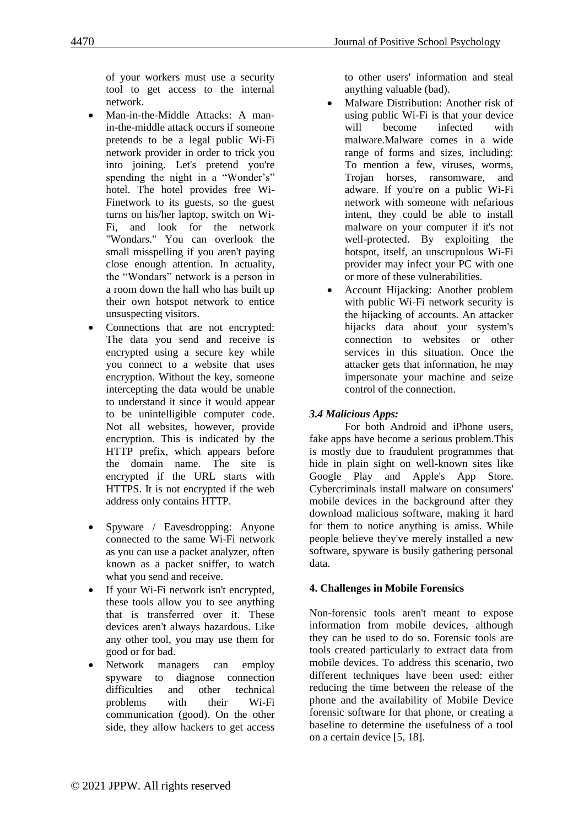of your workers must use a security tool to get access to the internal network.

- Man-in-the-Middle Attacks: A manin-the-middle attack occurs if someone pretends to be a legal public Wi-Fi network provider in order to trick you into joining. Let's pretend you're spending the night in a "Wonder's" hotel. The hotel provides free Wi-Finetwork to its guests, so the guest turns on his/her laptop, switch on Wi-Fi, and look for the network "Wondars." You can overlook the small misspelling if you aren't paying close enough attention. In actuality, the "Wondars" network is a person in a room down the hall who has built up their own hotspot network to entice unsuspecting visitors.
- Connections that are not encrypted: The data you send and receive is encrypted using a secure key while you connect to a website that uses encryption. Without the key, someone intercepting the data would be unable to understand it since it would appear to be unintelligible computer code. Not all websites, however, provide encryption. This is indicated by the HTTP prefix, which appears before the domain name. The site is encrypted if the URL starts with HTTPS. It is not encrypted if the web address only contains HTTP.
- Spyware / Eavesdropping: Anyone connected to the same Wi-Fi network as you can use a packet analyzer, often known as a packet sniffer, to watch what you send and receive.
- If your Wi-Fi network isn't encrypted, these tools allow you to see anything that is transferred over it. These devices aren't always hazardous. Like any other tool, you may use them for good or for bad.
- Network managers can employ spyware to diagnose connection difficulties and other technical problems with their Wi-Fi communication (good). On the other side, they allow hackers to get access

to other users' information and steal anything valuable (bad).

- Malware Distribution: Another risk of using public Wi-Fi is that your device will become infected with malware.Malware comes in a wide range of forms and sizes, including: To mention a few, viruses, worms, Trojan horses, ransomware, and adware. If you're on a public Wi-Fi network with someone with nefarious intent, they could be able to install malware on your computer if it's not well-protected. By exploiting the hotspot, itself, an unscrupulous Wi-Fi provider may infect your PC with one or more of these vulnerabilities.
- Account Hijacking: Another problem with public Wi-Fi network security is the hijacking of accounts. An attacker hijacks data about your system's connection to websites or other services in this situation. Once the attacker gets that information, he may impersonate your machine and seize control of the connection.

## *3.4 Malicious Apps:*

For both Android and iPhone users, fake apps have become a serious problem.This is mostly due to fraudulent programmes that hide in plain sight on well-known sites like Google Play and Apple's App Store. Cybercriminals install malware on consumers' mobile devices in the background after they download malicious software, making it hard for them to notice anything is amiss. While people believe they've merely installed a new software, spyware is busily gathering personal data.

#### **4. Challenges in Mobile Forensics**

Non-forensic tools aren't meant to expose information from mobile devices, although they can be used to do so. Forensic tools are tools created particularly to extract data from mobile devices. To address this scenario, two different techniques have been used: either reducing the time between the release of the phone and the availability of Mobile Device forensic software for that phone, or creating a baseline to determine the usefulness of a tool on a certain device [5, 18].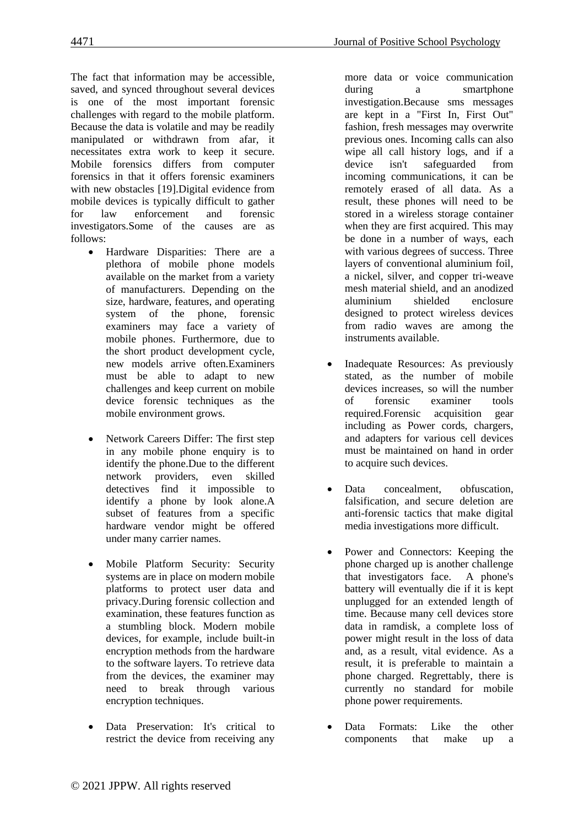The fact that information may be accessible, saved, and synced throughout several devices is one of the most important forensic challenges with regard to the mobile platform. Because the data is volatile and may be readily manipulated or withdrawn from afar, it necessitates extra work to keep it secure. Mobile forensics differs from computer forensics in that it offers forensic examiners with new obstacles [19].Digital evidence from mobile devices is typically difficult to gather for law enforcement and forensic investigators.Some of the causes are as follows:

- Hardware Disparities: There are a plethora of mobile phone models available on the market from a variety of manufacturers. Depending on the size, hardware, features, and operating system of the phone, forensic examiners may face a variety of mobile phones. Furthermore, due to the short product development cycle, new models arrive often.Examiners must be able to adapt to new challenges and keep current on mobile device forensic techniques as the mobile environment grows.
- Network Careers Differ: The first step in any mobile phone enquiry is to identify the phone.Due to the different network providers, even skilled detectives find it impossible to identify a phone by look alone.A subset of features from a specific hardware vendor might be offered under many carrier names.
- Mobile Platform Security: Security systems are in place on modern mobile platforms to protect user data and privacy.During forensic collection and examination, these features function as a stumbling block. Modern mobile devices, for example, include built-in encryption methods from the hardware to the software layers. To retrieve data from the devices, the examiner may need to break through various encryption techniques.
- Data Preservation: It's critical to restrict the device from receiving any

more data or voice communication during a smartphone investigation.Because sms messages are kept in a "First In, First Out" fashion, fresh messages may overwrite previous ones. Incoming calls can also wipe all call history logs, and if a device isn't safeguarded from incoming communications, it can be remotely erased of all data. As a result, these phones will need to be stored in a wireless storage container when they are first acquired. This may be done in a number of ways, each with various degrees of success. Three layers of conventional aluminium foil, a nickel, silver, and copper tri-weave mesh material shield, and an anodized aluminium shielded enclosure designed to protect wireless devices from radio waves are among the instruments available.

- Inadequate Resources: As previously stated, as the number of mobile devices increases, so will the number of forensic examiner tools required.Forensic acquisition gear including as Power cords, chargers, and adapters for various cell devices must be maintained on hand in order to acquire such devices.
- Data concealment, obfuscation, falsification, and secure deletion are anti-forensic tactics that make digital media investigations more difficult.
- Power and Connectors: Keeping the phone charged up is another challenge that investigators face. A phone's battery will eventually die if it is kept unplugged for an extended length of time. Because many cell devices store data in ramdisk, a complete loss of power might result in the loss of data and, as a result, vital evidence. As a result, it is preferable to maintain a phone charged. Regrettably, there is currently no standard for mobile phone power requirements.
- Data Formats: Like the other components that make up a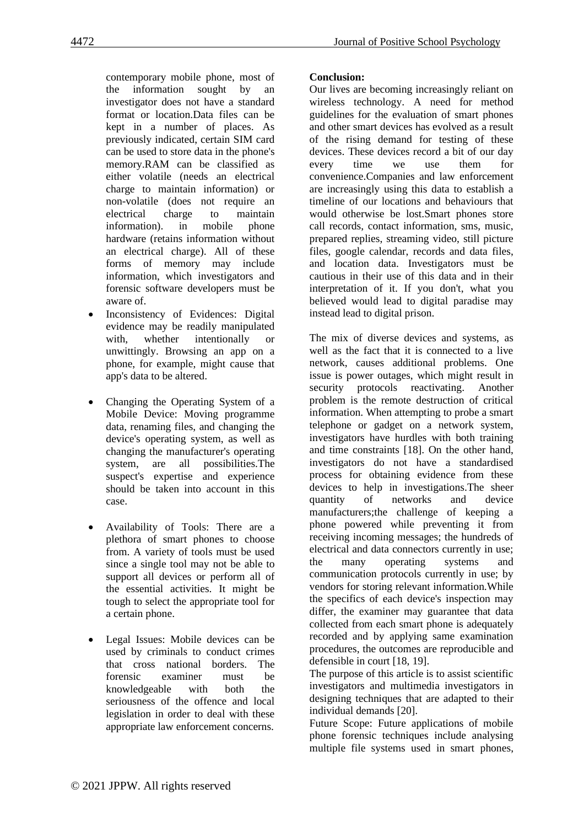contemporary mobile phone, most of the information sought by an investigator does not have a standard format or location.Data files can be kept in a number of places. As previously indicated, certain SIM card can be used to store data in the phone's memory.RAM can be classified as either volatile (needs an electrical charge to maintain information) or non-volatile (does not require an electrical charge to maintain information). in mobile phone hardware (retains information without an electrical charge). All of these forms of memory may include information, which investigators and forensic software developers must be aware of.

- Inconsistency of Evidences: Digital evidence may be readily manipulated with, whether intentionally or unwittingly. Browsing an app on a phone, for example, might cause that app's data to be altered.
- Changing the Operating System of a Mobile Device: Moving programme data, renaming files, and changing the device's operating system, as well as changing the manufacturer's operating system, are all possibilities.The suspect's expertise and experience should be taken into account in this case.
- Availability of Tools: There are a plethora of smart phones to choose from. A variety of tools must be used since a single tool may not be able to support all devices or perform all of the essential activities. It might be tough to select the appropriate tool for a certain phone.
- Legal Issues: Mobile devices can be used by criminals to conduct crimes that cross national borders. The forensic examiner must be knowledgeable with both the seriousness of the offence and local legislation in order to deal with these appropriate law enforcement concerns.

## **Conclusion:**

Our lives are becoming increasingly reliant on wireless technology. A need for method guidelines for the evaluation of smart phones and other smart devices has evolved as a result of the rising demand for testing of these devices. These devices record a bit of our day every time we use them for convenience.Companies and law enforcement are increasingly using this data to establish a timeline of our locations and behaviours that would otherwise be lost.Smart phones store call records, contact information, sms, music, prepared replies, streaming video, still picture files, google calendar, records and data files, and location data. Investigators must be cautious in their use of this data and in their interpretation of it. If you don't, what you believed would lead to digital paradise may instead lead to digital prison.

The mix of diverse devices and systems, as well as the fact that it is connected to a live network, causes additional problems. One issue is power outages, which might result in security protocols reactivating. Another problem is the remote destruction of critical information. When attempting to probe a smart telephone or gadget on a network system, investigators have hurdles with both training and time constraints [18]. On the other hand, investigators do not have a standardised process for obtaining evidence from these devices to help in investigations.The sheer quantity of networks and device manufacturers;the challenge of keeping a phone powered while preventing it from receiving incoming messages; the hundreds of electrical and data connectors currently in use; the many operating systems and communication protocols currently in use; by vendors for storing relevant information.While the specifics of each device's inspection may differ, the examiner may guarantee that data collected from each smart phone is adequately recorded and by applying same examination procedures, the outcomes are reproducible and defensible in court [18, 19].

The purpose of this article is to assist scientific investigators and multimedia investigators in designing techniques that are adapted to their individual demands [20].

Future Scope: Future applications of mobile phone forensic techniques include analysing multiple file systems used in smart phones,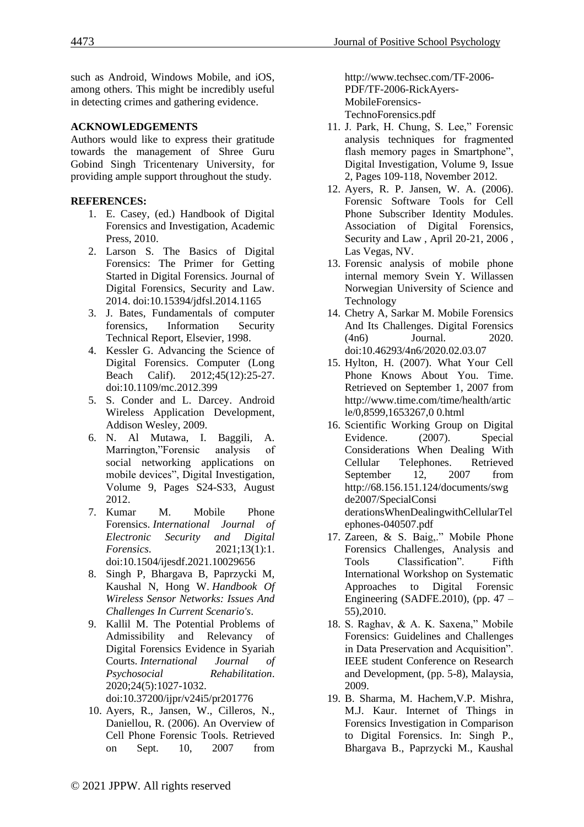such as Android, Windows Mobile, and iOS, among others. This might be incredibly useful in detecting crimes and gathering evidence.

### **ACKNOWLEDGEMENTS**

Authors would like to express their gratitude towards the management of Shree Guru Gobind Singh Tricentenary University, for providing ample support throughout the study.

## **REFERENCES:**

- 1. E. Casey, (ed.) Handbook of Digital Forensics and Investigation, Academic Press, 2010.
- 2. Larson S. The Basics of Digital Forensics: The Primer for Getting Started in Digital Forensics. Journal of Digital Forensics, Security and Law. 2014. doi:10.15394/jdfsl.2014.1165
- 3. J. Bates, Fundamentals of computer forensics, Information Security Technical Report, Elsevier, 1998.
- 4. Kessler G. Advancing the Science of Digital Forensics. Computer (Long Beach Calif). 2012;45(12):25-27. doi:10.1109/mc.2012.399
- 5. S. Conder and L. Darcey. Android Wireless Application Development, Addison Wesley, 2009.
- 6. N. Al Mutawa, I. Baggili, A. Marrington,"Forensic analysis of social networking applications on mobile devices", Digital Investigation, Volume 9, Pages S24-S33, August 2012.
- 7. Kumar M. Mobile Phone Forensics. *International Journal of Electronic Security and Digital Forensics*. 2021;13(1):1. doi:10.1504/ijesdf.2021.10029656
- 8. Singh P, Bhargava B, Paprzycki M, Kaushal N, Hong W. *Handbook Of Wireless Sensor Networks: Issues And Challenges In Current Scenario's*.
- 9. Kallil M. The Potential Problems of Admissibility and Relevancy of Digital Forensics Evidence in Syariah Courts. *International Journal of Psychosocial Rehabilitation*. 2020;24(5):1027-1032. doi:10.37200/ijpr/v24i5/pr201776
- 10. Ayers, R., Jansen, W., Cilleros, N., Daniellou, R. (2006). An Overview of Cell Phone Forensic Tools. Retrieved on Sept. 10, 2007 from

http://www.techsec.com/TF-2006- PDF/TF-2006-RickAyers-MobileForensics-TechnoForensics.pdf

- 11. J. Park, H. Chung, S. Lee," Forensic analysis techniques for fragmented flash memory pages in Smartphone", Digital Investigation, Volume 9, Issue 2, Pages 109-118, November 2012.
- 12. Ayers, R. P. Jansen, W. A. (2006). Forensic Software Tools for Cell Phone Subscriber Identity Modules. Association of Digital Forensics, Security and Law , April 20-21, 2006 , Las Vegas, NV.
- 13. Forensic analysis of mobile phone internal memory Svein Y. Willassen Norwegian University of Science and Technology
- 14. Chetry A, Sarkar M. Mobile Forensics And Its Challenges. Digital Forensics (4n6) Journal. 2020. doi:10.46293/4n6/2020.02.03.07
- 15. Hylton, H. (2007). What Your Cell Phone Knows About You. Time. Retrieved on September 1, 2007 from http://www.time.com/time/health/artic le/0,8599,1653267,0 0.html
- 16. Scientific Working Group on Digital Evidence. (2007). Special Considerations When Dealing With Cellular Telephones. Retrieved September 12, 2007 from http://68.156.151.124/documents/swg de2007/SpecialConsi derationsWhenDealingwithCellularTel ephones-040507.pdf
- 17. Zareen, & S. Baig,." Mobile Phone Forensics Challenges, Analysis and Tools Classification". Fifth International Workshop on Systematic Approaches to Digital Forensic Engineering (SADFE.2010), (pp.  $47 -$ 55),2010.
- 18. S. Raghav, & A. K. Saxena," Mobile Forensics: Guidelines and Challenges in Data Preservation and Acquisition". IEEE student Conference on Research and Development, (pp. 5-8), Malaysia, 2009.
- 19. B. Sharma, M. Hachem,V.P. Mishra, M.J. Kaur. Internet of Things in Forensics Investigation in Comparison to Digital Forensics. In: Singh P., Bhargava B., Paprzycki M., Kaushal